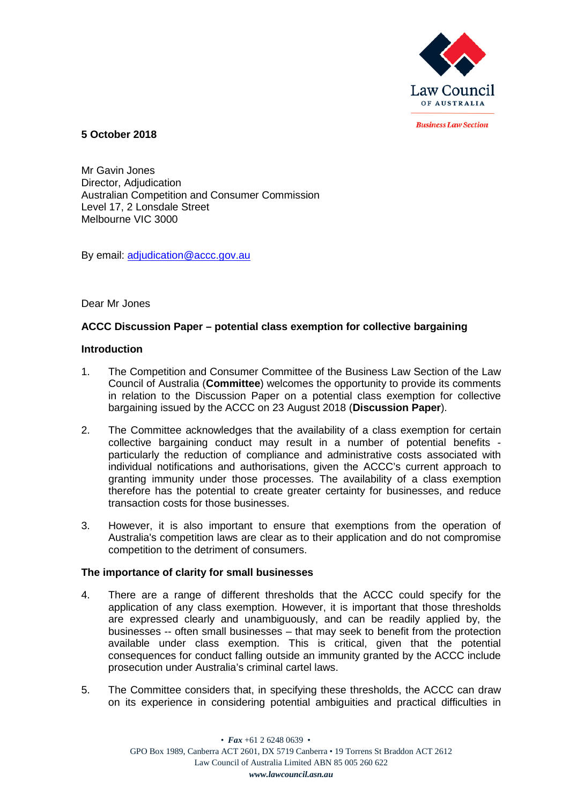

**Rusiness Law Section** 

**5 October 2018**

Mr Gavin Jones Director, Adjudication Australian Competition and Consumer Commission Level 17, 2 Lonsdale Street Melbourne VIC 3000

By email: adjudication@accc.gov.au

Dear Mr Jones

# **ACCC Discussion Paper – potential class exemption for collective bargaining**

## **Introduction**

- 1. The Competition and Consumer Committee of the Business Law Section of the Law Council of Australia (**Committee**) welcomes the opportunity to provide its comments in relation to the Discussion Paper on a potential class exemption for collective bargaining issued by the ACCC on 23 August 2018 (**Discussion Paper**).
- 2. The Committee acknowledges that the availability of a class exemption for certain collective bargaining conduct may result in a number of potential benefits particularly the reduction of compliance and administrative costs associated with individual notifications and authorisations, given the ACCC's current approach to granting immunity under those processes. The availability of a class exemption therefore has the potential to create greater certainty for businesses, and reduce transaction costs for those businesses.
- 3. However, it is also important to ensure that exemptions from the operation of Australia's competition laws are clear as to their application and do not compromise competition to the detriment of consumers.

## **The importance of clarity for small businesses**

- 4. There are a range of different thresholds that the ACCC could specify for the application of any class exemption. However, it is important that those thresholds are expressed clearly and unambiguously, and can be readily applied by, the businesses -- often small businesses – that may seek to benefit from the protection available under class exemption. This is critical, given that the potential consequences for conduct falling outside an immunity granted by the ACCC include prosecution under Australia's criminal cartel laws.
- 5. The Committee considers that, in specifying these thresholds, the ACCC can draw on its experience in considering potential ambiguities and practical difficulties in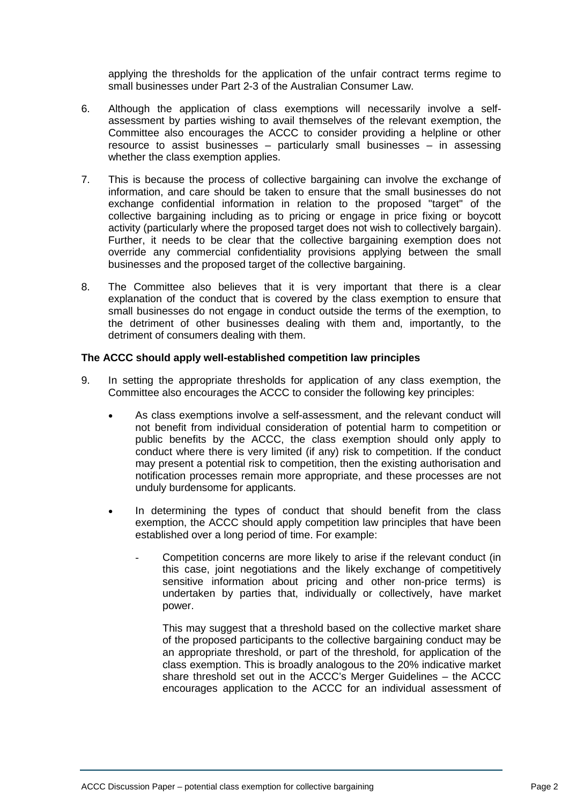applying the thresholds for the application of the unfair contract terms regime to small businesses under Part 2-3 of the Australian Consumer Law.

- 6. Although the application of class exemptions will necessarily involve a selfassessment by parties wishing to avail themselves of the relevant exemption, the Committee also encourages the ACCC to consider providing a helpline or other resource to assist businesses – particularly small businesses – in assessing whether the class exemption applies.
- 7. This is because the process of collective bargaining can involve the exchange of information, and care should be taken to ensure that the small businesses do not exchange confidential information in relation to the proposed "target" of the collective bargaining including as to pricing or engage in price fixing or boycott activity (particularly where the proposed target does not wish to collectively bargain). Further, it needs to be clear that the collective bargaining exemption does not override any commercial confidentiality provisions applying between the small businesses and the proposed target of the collective bargaining.
- 8. The Committee also believes that it is very important that there is a clear explanation of the conduct that is covered by the class exemption to ensure that small businesses do not engage in conduct outside the terms of the exemption, to the detriment of other businesses dealing with them and, importantly, to the detriment of consumers dealing with them.

#### **The ACCC should apply well-established competition law principles**

- 9. In setting the appropriate thresholds for application of any class exemption, the Committee also encourages the ACCC to consider the following key principles:
	- As class exemptions involve a self-assessment, and the relevant conduct will not benefit from individual consideration of potential harm to competition or public benefits by the ACCC, the class exemption should only apply to conduct where there is very limited (if any) risk to competition. If the conduct may present a potential risk to competition, then the existing authorisation and notification processes remain more appropriate, and these processes are not unduly burdensome for applicants.
	- In determining the types of conduct that should benefit from the class exemption, the ACCC should apply competition law principles that have been established over a long period of time. For example:
		- Competition concerns are more likely to arise if the relevant conduct (in this case, joint negotiations and the likely exchange of competitively sensitive information about pricing and other non-price terms) is undertaken by parties that, individually or collectively, have market power.

This may suggest that a threshold based on the collective market share of the proposed participants to the collective bargaining conduct may be an appropriate threshold, or part of the threshold, for application of the class exemption. This is broadly analogous to the 20% indicative market share threshold set out in the ACCC's Merger Guidelines – the ACCC encourages application to the ACCC for an individual assessment of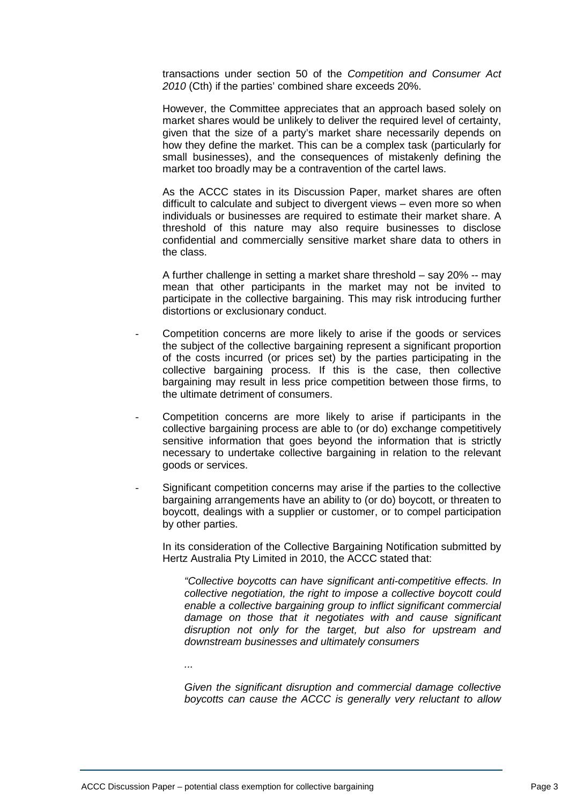transactions under section 50 of the *Competition and Consumer Act 2010* (Cth) if the parties' combined share exceeds 20%.

However, the Committee appreciates that an approach based solely on market shares would be unlikely to deliver the required level of certainty, given that the size of a party's market share necessarily depends on how they define the market. This can be a complex task (particularly for small businesses), and the consequences of mistakenly defining the market too broadly may be a contravention of the cartel laws.

As the ACCC states in its Discussion Paper, market shares are often difficult to calculate and subject to divergent views – even more so when individuals or businesses are required to estimate their market share. A threshold of this nature may also require businesses to disclose confidential and commercially sensitive market share data to others in the class.

A further challenge in setting a market share threshold – say 20% -- may mean that other participants in the market may not be invited to participate in the collective bargaining. This may risk introducing further distortions or exclusionary conduct.

- Competition concerns are more likely to arise if the goods or services the subject of the collective bargaining represent a significant proportion of the costs incurred (or prices set) by the parties participating in the collective bargaining process. If this is the case, then collective bargaining may result in less price competition between those firms, to the ultimate detriment of consumers.
- Competition concerns are more likely to arise if participants in the collective bargaining process are able to (or do) exchange competitively sensitive information that goes beyond the information that is strictly necessary to undertake collective bargaining in relation to the relevant goods or services.
- Significant competition concerns may arise if the parties to the collective bargaining arrangements have an ability to (or do) boycott, or threaten to boycott, dealings with a supplier or customer, or to compel participation by other parties.

In its consideration of the Collective Bargaining Notification submitted by Hertz Australia Pty Limited in 2010, the ACCC stated that:

*"Collective boycotts can have significant anti-competitive effects. In collective negotiation, the right to impose a collective boycott could enable a collective bargaining group to inflict significant commercial damage on those that it negotiates with and cause significant disruption not only for the target, but also for upstream and downstream businesses and ultimately consumers*

*...* 

*Given the significant disruption and commercial damage collective boycotts can cause the ACCC is generally very reluctant to allow*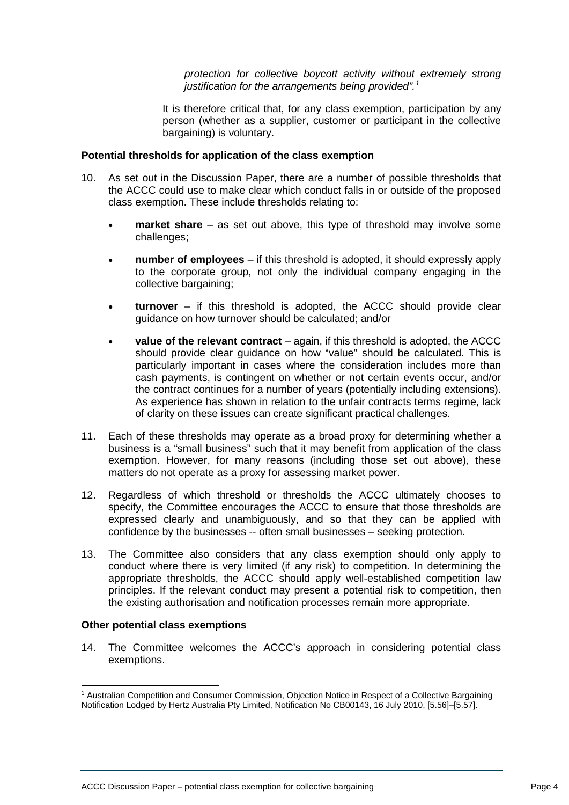*protection for collective boycott activity without extremely strong justification for the arrangements being provided".<sup>1</sup>*

It is therefore critical that, for any class exemption, participation by any person (whether as a supplier, customer or participant in the collective bargaining) is voluntary.

### **Potential thresholds for application of the class exemption**

- 10. As set out in the Discussion Paper, there are a number of possible thresholds that the ACCC could use to make clear which conduct falls in or outside of the proposed class exemption. These include thresholds relating to:
	- **market share** as set out above, this type of threshold may involve some challenges;
	- **number of employees**  if this threshold is adopted, it should expressly apply to the corporate group, not only the individual company engaging in the collective bargaining;
	- **turnover**  if this threshold is adopted, the ACCC should provide clear guidance on how turnover should be calculated; and/or
	- **value of the relevant contract**  again, if this threshold is adopted, the ACCC should provide clear guidance on how "value" should be calculated. This is particularly important in cases where the consideration includes more than cash payments, is contingent on whether or not certain events occur, and/or the contract continues for a number of years (potentially including extensions). As experience has shown in relation to the unfair contracts terms regime, lack of clarity on these issues can create significant practical challenges.
- 11. Each of these thresholds may operate as a broad proxy for determining whether a business is a "small business" such that it may benefit from application of the class exemption. However, for many reasons (including those set out above), these matters do not operate as a proxy for assessing market power.
- 12. Regardless of which threshold or thresholds the ACCC ultimately chooses to specify, the Committee encourages the ACCC to ensure that those thresholds are expressed clearly and unambiguously, and so that they can be applied with confidence by the businesses -- often small businesses – seeking protection.
- 13. The Committee also considers that any class exemption should only apply to conduct where there is very limited (if any risk) to competition. In determining the appropriate thresholds, the ACCC should apply well-established competition law principles. If the relevant conduct may present a potential risk to competition, then the existing authorisation and notification processes remain more appropriate.

#### **Other potential class exemptions**

14. The Committee welcomes the ACCC's approach in considering potential class exemptions.

 <sup>1</sup> Australian Competition and Consumer Commission, Objection Notice in Respect of a Collective Bargaining Notification Lodged by Hertz Australia Pty Limited, Notification No CB00143, 16 July 2010, [5.56]–[5.57].